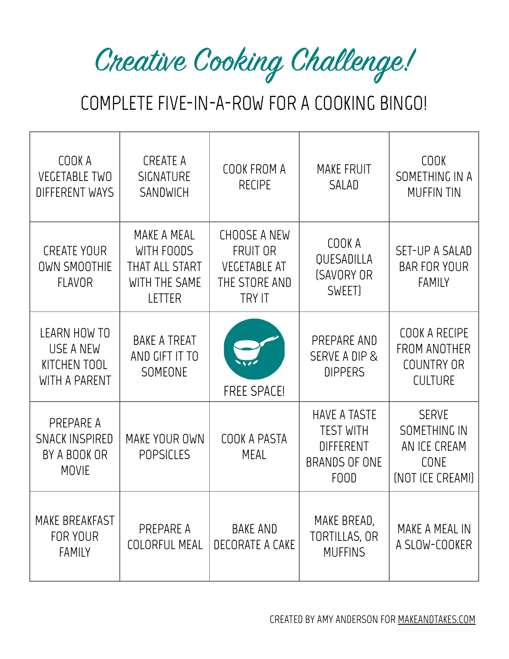Creative Cooking Challenge!

# COMPLETE FIVE-IN-A-ROW FOR A COOKING BINGO!

| COOK A<br><b>VEGETABLE TWO</b><br><b>DIFFERENT WAYS</b>            | CREATE A<br><b>SIGNATURE</b><br>SANDWICH                               | COOK FROM A<br><b>RECIPE</b>                                                             | <b>MAKE FRUIT</b><br>SALAD                                                                  | <b>COOK</b><br>SOMETHING IN A<br><b>MUFFIN TIN</b>                       |
|--------------------------------------------------------------------|------------------------------------------------------------------------|------------------------------------------------------------------------------------------|---------------------------------------------------------------------------------------------|--------------------------------------------------------------------------|
| <b>CREATE YOUR</b><br><b>OWN SMOOTHIE</b><br><b>FLAVOR</b>         | MAKE A MEAL<br>WITH FOODS<br>THAT ALL START<br>WITH THE SAME<br>LETTER | <b>CHOOSE A NEW</b><br>FRUIT OR<br><b>VEGETABLE AT</b><br>THE STORE AND<br><b>TRY IT</b> | COOK A<br>QUESADILLA<br>(SAVORY OR<br>SWEET)                                                | SET-UP A SALAD<br><b>BAR FOR YOUR</b><br><b>FAMILY</b>                   |
| <b>LEARN HOW TO</b><br>USE A NEW<br>KITCHEN TOOL<br>WITH A PARENT  | <b>BAKE A TREAT</b><br>AND CIFT IT TO<br>SOMEONE                       | <b>FREE SPACE!</b>                                                                       | PREPARE AND<br>SERVE A DIP &<br><b>DIPPERS</b>                                              | COOK A RECIPE<br><b>FROM ANOTHER</b><br>COUNTRY OR<br><b>CULTURE</b>     |
| PREPARE A<br><b>SNACK INSPIRED</b><br>BY A BOOK OR<br><b>MOVIE</b> | MAKE YOUR OWN<br><b>POPSICLES</b>                                      | COOK A PASTA<br><b>MEAL</b>                                                              | <b>HAVE A TASTE</b><br><b>TEST WITH</b><br><b>DIFFERENT</b><br><b>BRANDS OF ONE</b><br>FOOD | <b>SERVE</b><br>SOMETHING IN<br>AN ICE CREAM<br>CONE<br>(NOT ICE CREAM!) |
| MAKE BREAKFAST<br>FOR YOUR<br><b>FAMILY</b>                        | PREPARE A<br><b>COLORFUL MEAL</b>                                      | BAKE AND<br>DECORATE A CAKE                                                              | MAKE BREAD,<br><b>TORTILLAS, OR</b><br><b>MUFFINS</b>                                       | MAKE A MEAL IN<br>A SLOW-COOKER                                          |